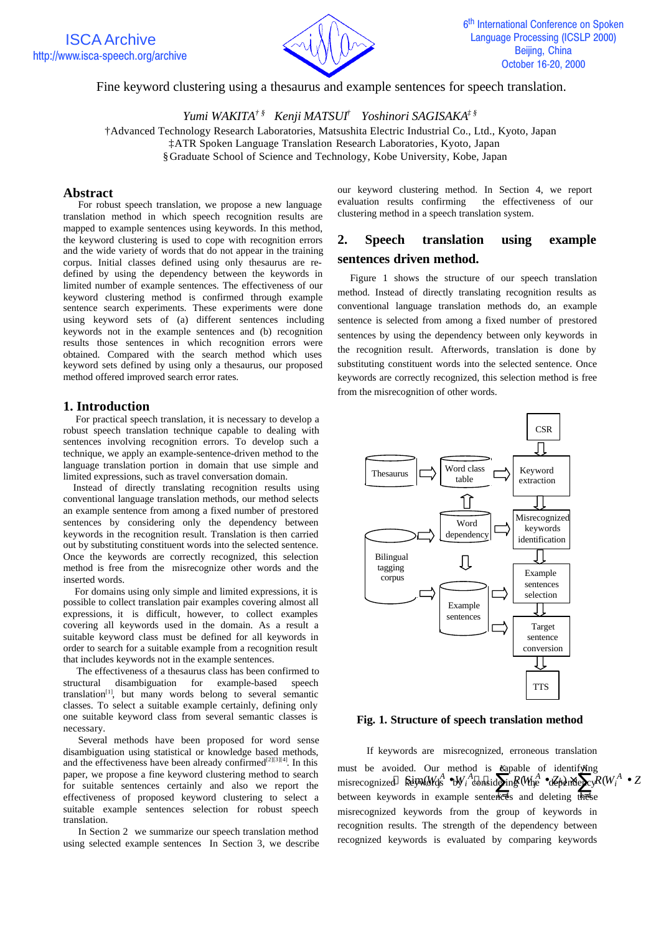

### Fine keyword clustering using a thesaurus and example sentences for speech translation.

*Yumi WAKITA† § Kenji MATSUI† Yoshinori SAGISAKA‡ §*

†Advanced Technology Research Laboratories, Matsushita Electric Industrial Co., Ltd., Kyoto, Japan

‡ATR Spoken Language Translation Research Laboratories, Kyoto, Japan

§Graduate School of Science and Technology, Kobe University, Kobe, Japan

### **Abstract**

For robust speech translation, we propose a new language translation method in which speech recognition results are mapped to example sentences using keywords. In this method, the keyword clustering is used to cope with recognition errors and the wide variety of words that do not appear in the training corpus. Initial classes defined using only thesaurus are redefined by using the dependency between the keywords in limited number of example sentences. The effectiveness of our keyword clustering method is confirmed through example sentence search experiments. These experiments were done using keyword sets of (a) different sentences including keywords not in the example sentences and (b) recognition results those sentences in which recognition errors were obtained. Compared with the search method which uses keyword sets defined by using only a thesaurus, our proposed method offered improved search error rates.

### **1. Introduction**

For practical speech translation, it is necessary to develop a robust speech translation technique capable to dealing with sentences involving recognition errors. To develop such a technique, we apply an example-sentence-driven method to the language translation portion in domain that use simple and limited expressions, such as travel conversation domain.

 Instead of directly translating recognition results using conventional language translation methods, our method selects an example sentence from among a fixed number of prestored sentences by considering only the dependency between keywords in the recognition result. Translation is then carried out by substituting constituent words into the selected sentence. Once the keywords are correctly recognized, this selection method is free from the misrecognize other words and the inserted words.

 For domains using only simple and limited expressions, it is possible to collect translation pair examples covering almost all expressions, it is difficult, however, to collect examples covering all keywords used in the domain. As a result a suitable keyword class must be defined for all keywords in order to search for a suitable example from a recognition result that includes keywords not in the example sentences.

 The effectiveness of a thesaurus class has been confirmed to structural disambiguation for example-based speech translation[1], but many words belong to several semantic classes. To select a suitable example certainly, defining only one suitable keyword class from several semantic classes is necessary.

 Several methods have been proposed for word sense disambiguation using statistical or knowledge based methods, and the effectiveness have been already confirmed<sup>[2][3][4]</sup>. In this paper, we propose a fine keyword clustering method to search for suitable sentences certainly and also we report the effectiveness of proposed keyword clustering to select a suitable example sentences selection for robust speech translation.

In Section 2 we summarize our speech translation method using selected example sentences In Section 3, we describe our keyword clustering method. In Section 4, we report evaluation results confirming the effectiveness of our clustering method in a speech translation system.

# **2. Speech translation using example sentences driven method.**

Figure 1 shows the structure of our speech translation method. Instead of directly translating recognition results as conventional language translation methods do, an example sentence is selected from among a fixed number of prestored sentences by using the dependency between only keywords in the recognition result. Afterwords, translation is done by substituting constituent words into the selected sentence. Once keywords are correctly recognized, this selection method is free from the misrecognition of other words.



#### **Fig. 1. Structure of speech translation method**

If keywords are misrecognized, erroneous translation must be avoided. Our method is Kapable of identifying misrecognized Ripad Kg  $\bullet$ W<sub>i</sub> considering Whe  $\bullet$ d behender  $R(W_i^A \bullet Z)$ between keywords in example senter es and deleting these misrecognized keywords from the group of keywords in recognition results. The strength of the dependency between recognized keywords is evaluated by comparing keywords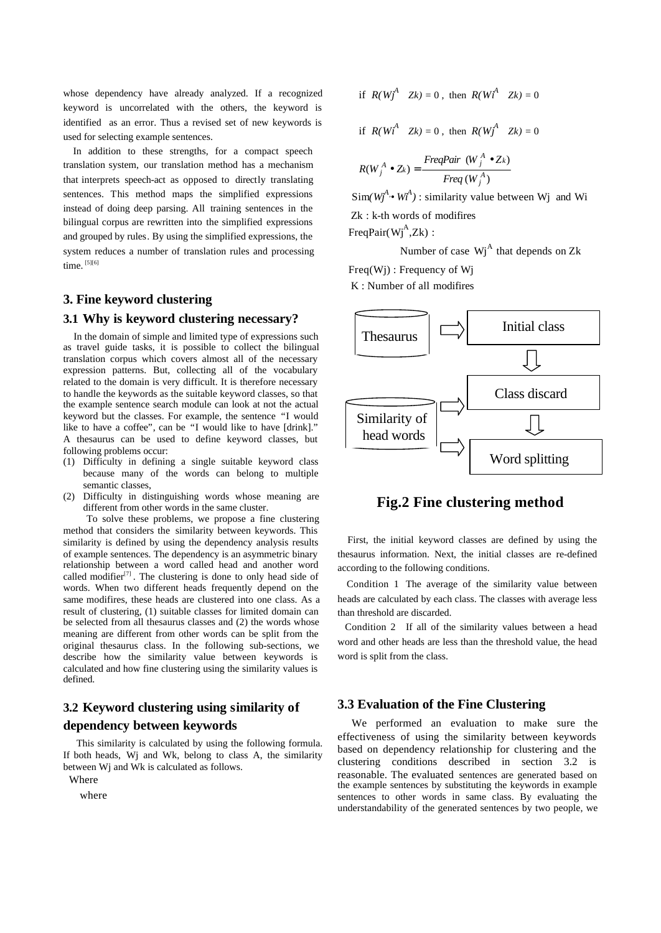whose dependency have already analyzed. If a recognized keyword is uncorrelated with the others, the keyword is identified as an error. Thus a revised set of new keywords is used for selecting example sentences.

 In addition to these strengths, for a compact speech translation system, our translation method has a mechanism that interprets speech-act as opposed to directly translating sentences. This method maps the simplified expressions instead of doing deep parsing. All training sentences in the bilingual corpus are rewritten into the simplified expressions and grouped by rules. By using the simplified expressions, the system reduces a number of translation rules and processing time.  $^{[5][6]}$ 

### **3. Fine keyword clustering**

#### **3.1 Why is keyword clustering necessary?**

 In the domain of simple and limited type of expressions such as travel guide tasks, it is possible to collect the bilingual translation corpus which covers almost all of the necessary expression patterns. But, collecting all of the vocabulary related to the domain is very difficult. It is therefore necessary to handle the keywords as the suitable keyword classes, so that the example sentence search module can look at not the actual keyword but the classes. For example, the sentence "I would like to have a coffee", can be "I would like to have [drink]." A thesaurus can be used to define keyword classes, but following problems occur:

- (1) Difficulty in defining a single suitable keyword class because many of the words can belong to multiple semantic classes,
- (2) Difficulty in distinguishing words whose meaning are different from other words in the same cluster.

 To solve these problems, we propose a fine clustering method that considers the similarity between keywords. This similarity is defined by using the dependency analysis results of example sentences. The dependency is an asymmetric binary relationship between a word called head and another word called modifier<sup>[7]</sup>. The clustering is done to only head side of words. When two different heads frequently depend on the same modifires, these heads are clustered into one class. As a result of clustering, (1) suitable classes for limited domain can be selected from all thesaurus classes and (2) the words whose meaning are different from other words can be split from the original thesaurus class. In the following sub-sections, we describe how the similarity value between keywords is calculated and how fine clustering using the similarity values is defined.

# **3.2 Keyword clustering using similarity of dependency between keywords**

 This similarity is calculated by using the following formula. If both heads, Wj and Wk, belong to class A, the similarity between Wj and Wk is calculated as follows.

Where

where

$$
\text{if } R(W_J^A \quad Zk) = 0 \text{, then } R(W_l^A \quad Zk) = 0
$$

$$
\text{if } R(Wt^A \quad Zk) = 0 \text{, then } R(Wt^A \quad Zk) = 0
$$

$$
R(W_j^A \bullet Z_k) = \frac{FreqPair \ (W_j^A \bullet Z_k)}{Freq \ (W_j^A)}
$$

 $\text{Sim}(W_j^A, W_i^A)$ : similarity value between Wj and Wi Zk : k-th words of modifires  $FreqPair(Wj<sup>A</sup>,Zk)$ :

Number of case  $Wj^A$  that depends on Zk

Freq(Wj) : Frequency of Wj

K : Number of all modifires



## **Fig.2 Fine clustering method**

 First, the initial keyword classes are defined by using the thesaurus information. Next, the initial classes are re-defined according to the following conditions.

Condition 1 The average of the similarity value between heads are calculated by each class. The classes with average less than threshold are discarded.

Condition 2 If all of the similarity values between a head word and other heads are less than the threshold value, the head word is split from the class.

#### **3.3 Evaluation of the Fine Clustering**

 We performed an evaluation to make sure the effectiveness of using the similarity between keywords based on dependency relationship for clustering and the clustering conditions described in section 3.2 is reasonable. The evaluated sentences are generated based on the example sentences by substituting the keywords in example sentences to other words in same class. By evaluating the understandability of the generated sentences by two people, we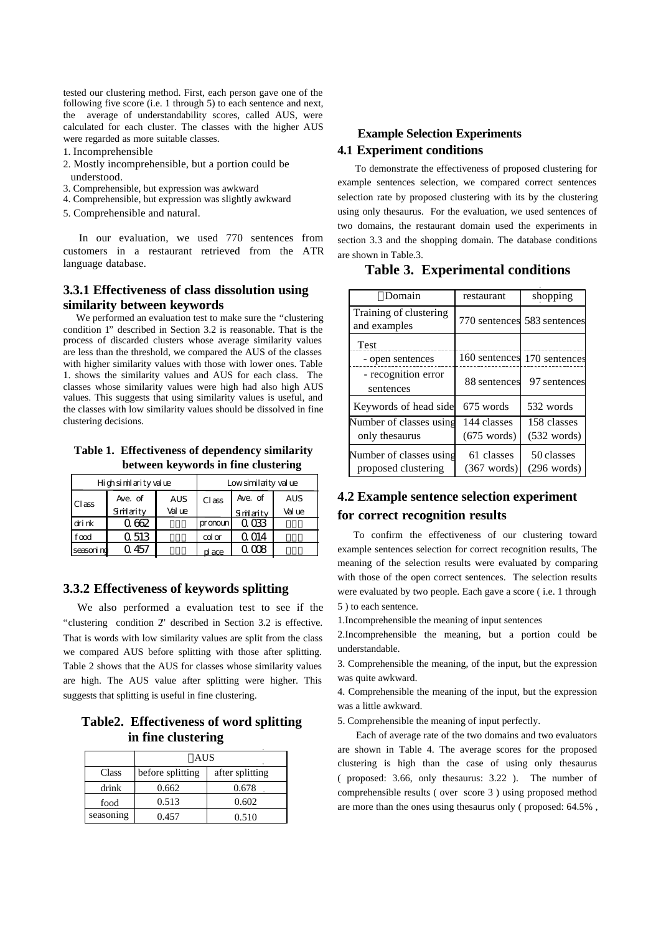tested our clustering method. First, each person gave one of the following five score (i.e. 1 through 5) to each sentence and next, the average of understandability scores, called AUS, were calculated for each cluster. The classes with the higher AUS were regarded as more suitable classes.

1. Incomprehensible

- 2. Mostly incomprehensible, but a portion could be understood.
- 3. Comprehensible, but expression was awkward
- 4. Comprehensible, but expression was slightly awkward
- 5. Comprehensible and natural.

 In our evaluation, we used 770 sentences from customers in a restaurant retrieved from the ATR language database.

### **3.3.1 Effectiveness of class dissolution using similarity between keywords**

We performed an evaluation test to make sure the "clustering" condition 1" described in Section 3.2 is reasonable. That is the process of discarded clusters whose average similarity values are less than the threshold, we compared the AUS of the classes with higher similarity values with those with lower ones. Table 1. shows the similarity values and AUS for each class. The classes whose similarity values were high had also high AUS values. This suggests that using similarity values is useful, and the classes with low similarity values should be dissolved in fine clustering decisions.

**Table 1. Effectiveness of dependency similarity between keywords in fine clustering** 

| High similarity value |          |            | Low similaity value |                |            |  |
|-----------------------|----------|------------|---------------------|----------------|------------|--|
| Class                 | Ave. of  | <b>AUS</b> | Class               | Ave. of        | <b>AUS</b> |  |
|                       | Simarity | Value      |                     | Smlarity       | Value      |  |
| drink                 | 062      |            | pronoun             | 0 <sub>0</sub> |            |  |
| food                  | 0.513    |            | $\alpha$            | Q 014          |            |  |
| seascrind             | 457      |            | place               | 300 C          |            |  |

#### **3.3.2 Effectiveness of keywords splitting**

We also performed a evaluation test to see if the "clustering condition 2" described in Section 3.2 is effective. That is words with low similarity values are split from the class we compared AUS before splitting with those after splitting. Table 2 shows that the AUS for classes whose similarity values are high. The AUS value after splitting were higher. This suggests that splitting is useful in fine clustering.

## **Table2. Effectiveness of word splitting in fine clustering**

|           | AUS              |                 |  |  |
|-----------|------------------|-----------------|--|--|
| Class     | before splitting | after splitting |  |  |
| drink     | 0.662            | 0.678           |  |  |
| food      | 0.513            | 0.602           |  |  |
| seasoning | 0.457            | 0.510           |  |  |

## **Example Selection Experiments 4.1 Experiment conditions**

To demonstrate the effectiveness of proposed clustering for example sentences selection, we compared correct sentences selection rate by proposed clustering with its by the clustering using only thesaurus. For the evaluation, we used sentences of two domains, the restaurant domain used the experiments in section 3.3 and the shopping domain. The database conditions are shown in Table.3.

| Domain                                 | restaurant            | shopping                    |  |
|----------------------------------------|-----------------------|-----------------------------|--|
| Training of clustering<br>and examples |                       | 770 sentences 583 sentences |  |
| Test                                   |                       |                             |  |
| - open sentences                       |                       | 160 sentences 170 sentences |  |
| - recognition error<br>sentences       |                       | 88 sentences 97 sentences   |  |
| Keywords of head side                  | 675 words             | 532 words                   |  |
| Number of classes using                | 144 classes           | 158 classes                 |  |
| only thesaurus                         | $(675 \text{ words})$ | $(532 \text{ words})$       |  |
| Number of classes using                | 61 classes            | 50 classes                  |  |
| proposed clustering                    | $(367 \text{ words})$ | $(296 \text{ words})$       |  |

### **Table 3. Experimental conditions**

# **4.2 Example sentence selection experiment for correct recognition results**

To confirm the effectiveness of our clustering toward example sentences selection for correct recognition results, The meaning of the selection results were evaluated by comparing with those of the open correct sentences. The selection results were evaluated by two people. Each gave a score ( i.e. 1 through 5 ) to each sentence.

1.Incomprehensible the meaning of input sentences

2.Incomprehensible the meaning, but a portion could be understandable.

3. Comprehensible the meaning, of the input, but the expression was quite awkward.

4. Comprehensible the meaning of the input, but the expression was a little awkward.

5. Comprehensible the meaning of input perfectly.

 Each of average rate of the two domains and two evaluators are shown in Table 4. The average scores for the proposed clustering is high than the case of using only thesaurus ( proposed: 3.66, only thesaurus: 3.22 ). The number of comprehensible results ( over score 3 ) using proposed method are more than the ones using thesaurus only ( proposed: 64.5% ,